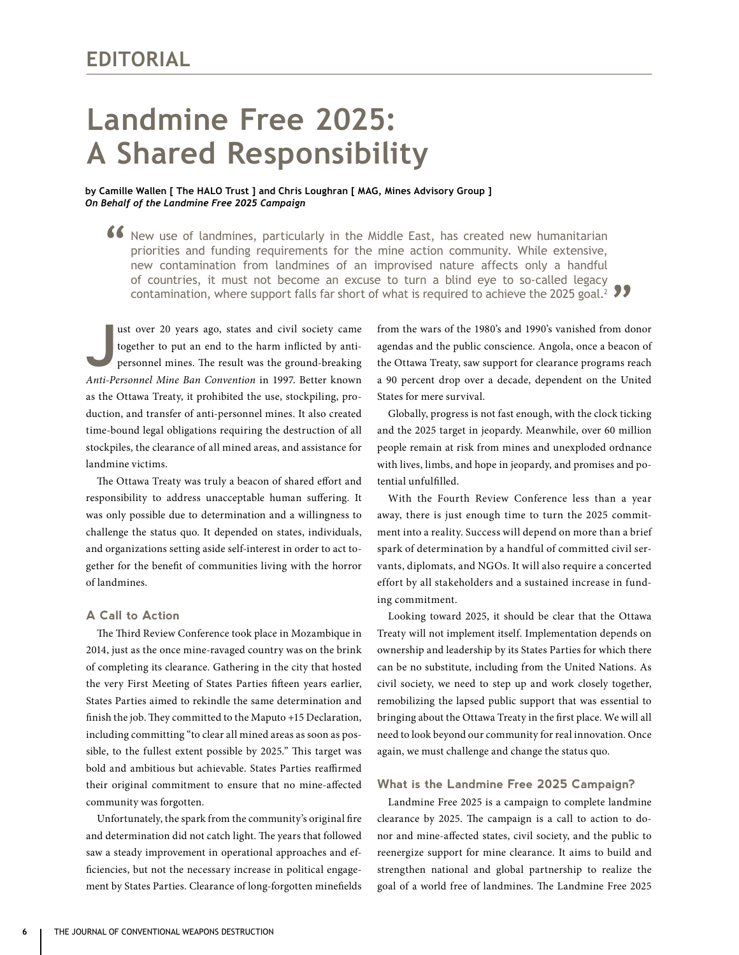# **Landmine Free 2025: A Shared Responsibility**

**by Camille Wallen [ The HALO Trust ] and Chris Loughran [ MAG, Mines Advisory Group ]**  *On Behalf of the Landmine Free 2025 Campaign* 

K New use of landmines, particularly in the Middle East, has created new humanitarian priorities and funding requirements for the mine action community. While extensive, new contemination from landmines of an imagination o priorities and funding requirements for the mine action community. While extensive, new contamination from landmines of an improvised nature affects only a handful of countries, it must not become an excuse to turn a blind eye to so-called legacy contamination, where support falls far short of what is required to achieve the 2025 goal.2 **"**

**J** ust over 20 years ago, states and civil society came together to put an end to the harm inflicted by antipersonnel mines. The result was the ground-breaking *Anti-Personnel Mine Ban Convention* in 1997. Better known as the Ottawa Treaty, it prohibited the use, stockpiling, production, and transfer of anti-personnel mines. It also created time-bound legal obligations requiring the destruction of all stockpiles, the clearance of all mined areas, and assistance for landmine victims.

The Ottawa Treaty was truly a beacon of shared effort and responsibility to address unacceptable human suffering. It was only possible due to determination and a willingness to challenge the status quo. It depended on states, individuals, and organizations setting aside self-interest in order to act together for the benefit of communities living with the horror of landmines.

# **A Call to Action**

The Third Review Conference took place in Mozambique in 2014, just as the once mine-ravaged country was on the brink of completing its clearance. Gathering in the city that hosted the very First Meeting of States Parties fifteen years earlier, States Parties aimed to rekindle the same determination and finish the job. They committed to the Maputo +15 Declaration, including committing "to clear all mined areas as soon as possible, to the fullest extent possible by 2025." This target was bold and ambitious but achievable. States Parties reaffirmed their original commitment to ensure that no mine-affected community was forgotten.

Unfortunately, the spark from the community's original fire and determination did not catch light. The years that followed saw a steady improvement in operational approaches and efficiencies, but not the necessary increase in political engagement by States Parties. Clearance of long-forgotten minefields from the wars of the 1980's and 1990's vanished from donor agendas and the public conscience. Angola, once a beacon of the Ottawa Treaty, saw support for clearance programs reach a 90 percent drop over a decade, dependent on the United States for mere survival.

Globally, progress is not fast enough, with the clock ticking and the 2025 target in jeopardy. Meanwhile, over 60 million people remain at risk from mines and unexploded ordnance with lives, limbs, and hope in jeopardy, and promises and potential unfulfilled.

With the Fourth Review Conference less than a year away, there is just enough time to turn the 2025 commitment into a reality. Success will depend on more than a brief spark of determination by a handful of committed civil servants, diplomats, and NGOs. It will also require a concerted effort by all stakeholders and a sustained increase in funding commitment.

Looking toward 2025, it should be clear that the Ottawa Treaty will not implement itself. Implementation depends on ownership and leadership by its States Parties for which there can be no substitute, including from the United Nations. As civil society, we need to step up and work closely together, remobilizing the lapsed public support that was essential to bringing about the Ottawa Treaty in the first place. We will all need to look beyond our community for real innovation. Once again, we must challenge and change the status quo.

# **What is the Landmine Free 2025 Campaign?**

Landmine Free 2025 is a campaign to complete landmine clearance by 2025. The campaign is a call to action to donor and mine-affected states, civil society, and the public to reenergize support for mine clearance. It aims to build and strengthen national and global partnership to realize the goal of a world free of landmines. The Landmine Free 2025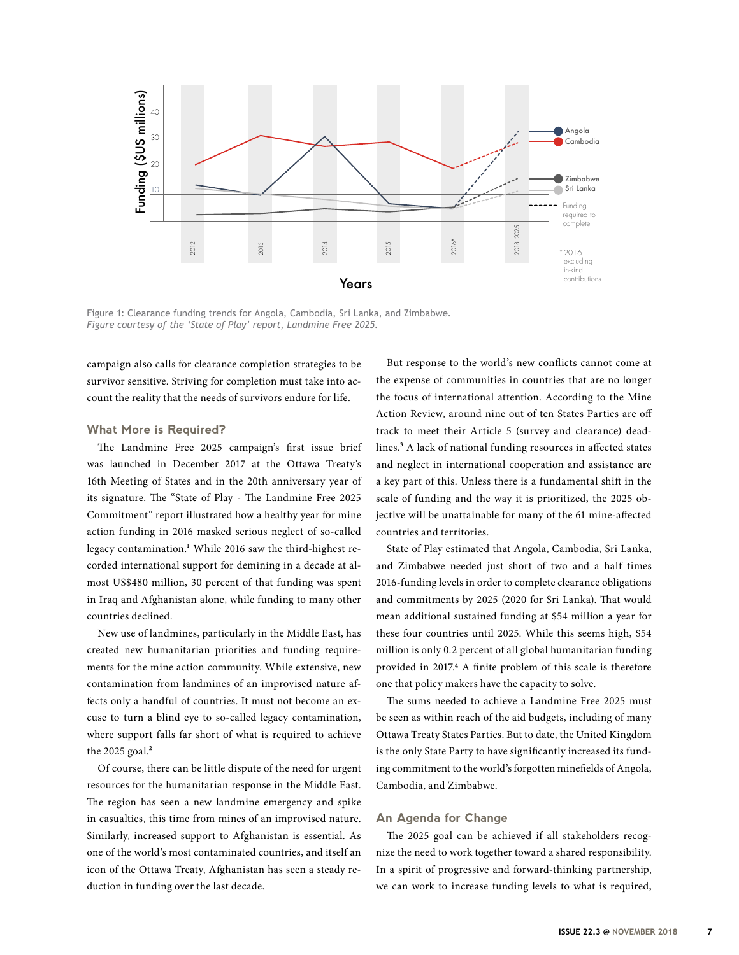

Figure 1: Clearance funding trends for Angola, Cambodia, Sri Lanka, and Zimbabwe. *Figure courtesy of the 'State of Play' report, Landmine Free 2025.*

campaign also calls for clearance completion strategies to be survivor sensitive. Striving for completion must take into account the reality that the needs of survivors endure for life.

## **What More is Required?**

The Landmine Free 2025 campaign's first issue brief was launched in December 2017 at the Ottawa Treaty's 16th Meeting of States and in the 20th anniversary year of its signature. The "State of Play - The Landmine Free 2025 Commitment" report illustrated how a healthy year for mine action funding in 2016 masked serious neglect of so-called legacy contamination.<sup>1</sup> While 2016 saw the third-highest recorded international support for demining in a decade at almost US\$480 million, 30 percent of that funding was spent in Iraq and Afghanistan alone, while funding to many other countries declined.

New use of landmines, particularly in the Middle East, has created new humanitarian priorities and funding requirements for the mine action community. While extensive, new contamination from landmines of an improvised nature affects only a handful of countries. It must not become an excuse to turn a blind eye to so-called legacy contamination, where support falls far short of what is required to achieve the 2025 goal. $2$ 

Of course, there can be little dispute of the need for urgent resources for the humanitarian response in the Middle East. The region has seen a new landmine emergency and spike in casualties, this time from mines of an improvised nature. Similarly, increased support to Afghanistan is essential. As one of the world's most contaminated countries, and itself an icon of the Ottawa Treaty, Afghanistan has seen a steady reduction in funding over the last decade.

But response to the world's new conflicts cannot come at the expense of communities in countries that are no longer the focus of international attention. According to the Mine Action Review, around nine out of ten States Parties are off track to meet their Article 5 (survey and clearance) deadlines.<sup>3</sup> A lack of national funding resources in affected states and neglect in international cooperation and assistance are a key part of this. Unless there is a fundamental shift in the scale of funding and the way it is prioritized, the 2025 objective will be unattainable for many of the 61 mine-affected countries and territories.

State of Play estimated that Angola, Cambodia, Sri Lanka, and Zimbabwe needed just short of two and a half times 2016-funding levels in order to complete clearance obligations and commitments by 2025 (2020 for Sri Lanka). That would mean additional sustained funding at \$54 million a year for these four countries until 2025. While this seems high, \$54 million is only 0.2 percent of all global humanitarian funding provided in 2017.4 A finite problem of this scale is therefore one that policy makers have the capacity to solve.

The sums needed to achieve a Landmine Free 2025 must be seen as within reach of the aid budgets, including of many Ottawa Treaty States Parties. But to date, the United Kingdom is the only State Party to have significantly increased its funding commitment to the world's forgotten minefields of Angola, Cambodia, and Zimbabwe.

#### **An Agenda for Change**

The 2025 goal can be achieved if all stakeholders recognize the need to work together toward a shared responsibility. In a spirit of progressive and forward-thinking partnership, we can work to increase funding levels to what is required,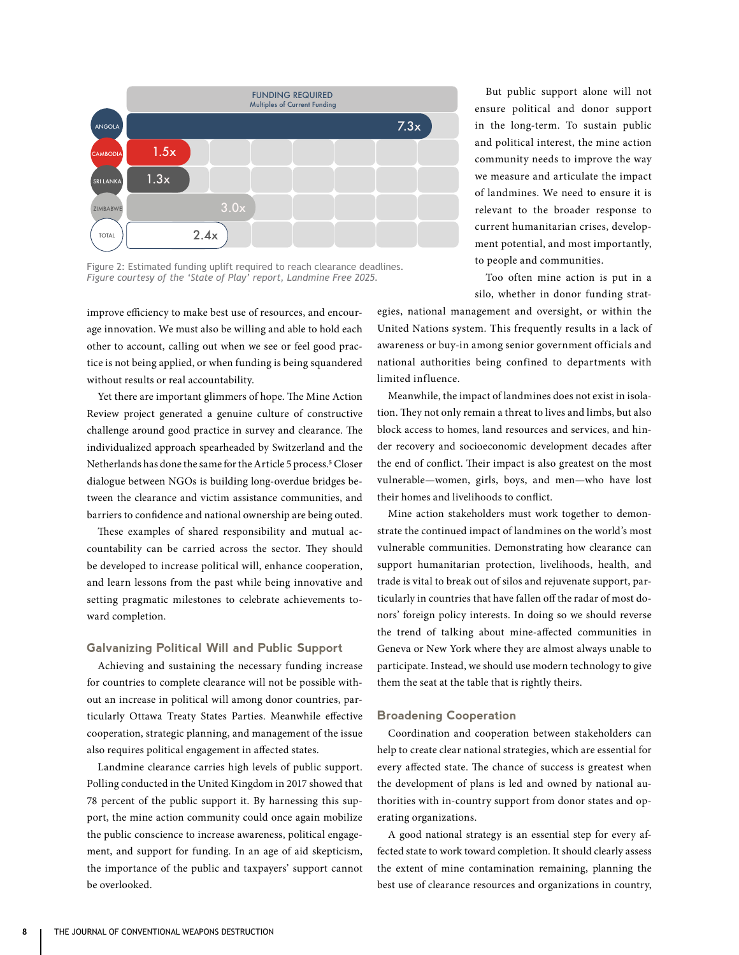

Figure 2: Estimated funding uplift required to reach clearance deadlines. *Figure courtesy of the 'State of Play' report, Landmine Free 2025.*

improve efficiency to make best use of resources, and encourage innovation. We must also be willing and able to hold each other to account, calling out when we see or feel good practice is not being applied, or when funding is being squandered without results or real accountability.

Yet there are important glimmers of hope. The Mine Action Review project generated a genuine culture of constructive challenge around good practice in survey and clearance. The individualized approach spearheaded by Switzerland and the Netherlands has done the same for the Article 5 process.<sup>5</sup> Closer dialogue between NGOs is building long-overdue bridges between the clearance and victim assistance communities, and barriers to confidence and national ownership are being outed.

These examples of shared responsibility and mutual accountability can be carried across the sector. They should be developed to increase political will, enhance cooperation, and learn lessons from the past while being innovative and setting pragmatic milestones to celebrate achievements toward completion.

### **Galvanizing Political Will and Public Support**

Achieving and sustaining the necessary funding increase for countries to complete clearance will not be possible without an increase in political will among donor countries, particularly Ottawa Treaty States Parties. Meanwhile effective cooperation, strategic planning, and management of the issue also requires political engagement in affected states.

Landmine clearance carries high levels of public support. Polling conducted in the United Kingdom in 2017 showed that 78 percent of the public support it. By harnessing this support, the mine action community could once again mobilize the public conscience to increase awareness, political engagement, and support for funding. In an age of aid skepticism, the importance of the public and taxpayers' support cannot be overlooked.

But public support alone will not ensure political and donor support in the long-term. To sustain public and political interest, the mine action community needs to improve the way we measure and articulate the impact of landmines. We need to ensure it is relevant to the broader response to current humanitarian crises, development potential, and most importantly, to people and communities.

Too often mine action is put in a silo, whether in donor funding strat-

egies, national management and oversight, or within the United Nations system. This frequently results in a lack of awareness or buy-in among senior government officials and national authorities being confined to departments with limited influence.

Meanwhile, the impact of landmines does not exist in isolation. They not only remain a threat to lives and limbs, but also block access to homes, land resources and services, and hinder recovery and socioeconomic development decades after the end of conflict. Their impact is also greatest on the most vulnerable—women, girls, boys, and men—who have lost their homes and livelihoods to conflict.

Mine action stakeholders must work together to demonstrate the continued impact of landmines on the world's most vulnerable communities. Demonstrating how clearance can support humanitarian protection, livelihoods, health, and trade is vital to break out of silos and rejuvenate support, particularly in countries that have fallen off the radar of most donors' foreign policy interests. In doing so we should reverse the trend of talking about mine-affected communities in Geneva or New York where they are almost always unable to participate. Instead, we should use modern technology to give them the seat at the table that is rightly theirs.

#### **Broadening Cooperation**

Coordination and cooperation between stakeholders can help to create clear national strategies, which are essential for every affected state. The chance of success is greatest when the development of plans is led and owned by national authorities with in-country support from donor states and operating organizations.

A good national strategy is an essential step for every affected state to work toward completion. It should clearly assess the extent of mine contamination remaining, planning the best use of clearance resources and organizations in country,